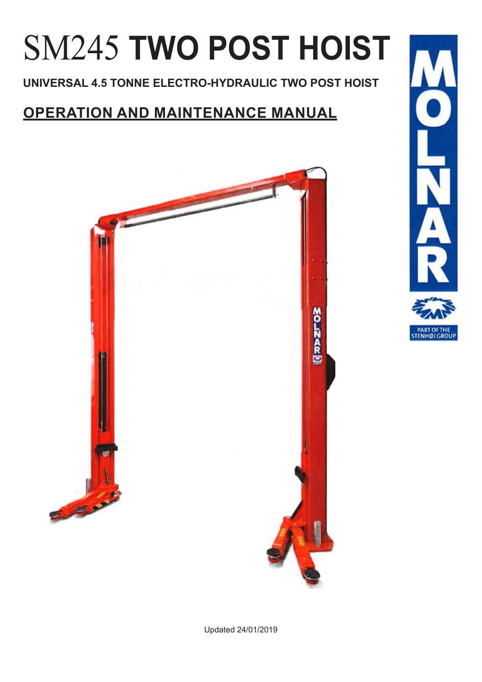# SM245 **TWO POST HOIST**

**UNIVERSAL 4.5 TONNE ELECTRO-HYDRAULIC TWO POST HOIST**

# **OPERATION AND MAINTENANCE MANUAL**



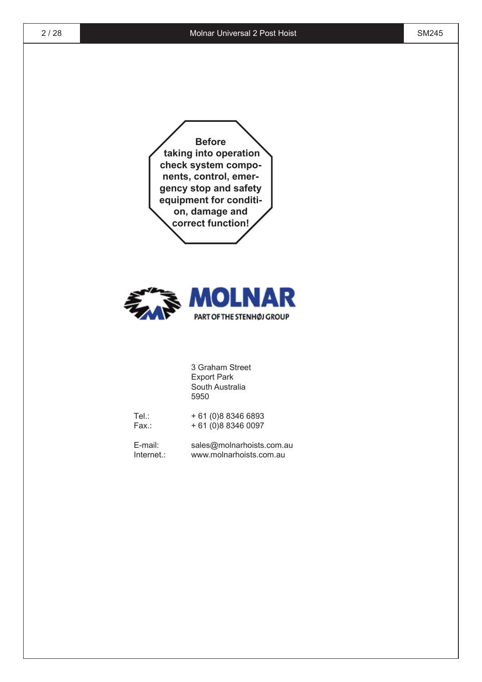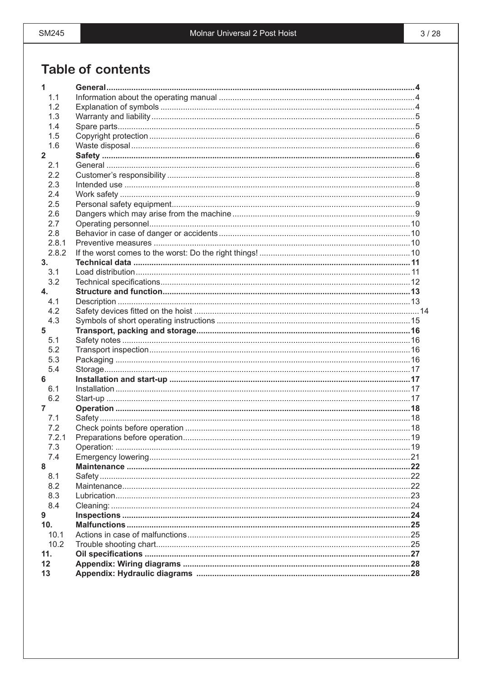### **Table of contents**

| 1              |  |
|----------------|--|
| 1.1            |  |
| 1.2            |  |
| 1.3            |  |
| 1.4            |  |
| 1.5            |  |
| 1.6            |  |
| $\overline{2}$ |  |
| 2.1            |  |
| 2.2            |  |
| 2.3            |  |
| 2.4            |  |
| 2.5            |  |
| 2.6            |  |
| 2.7            |  |
| 2.8            |  |
| 2.8.1          |  |
| 2.8.2          |  |
| 3.             |  |
|                |  |
| 3.1            |  |
| 3.2            |  |
| $\mathbf{4}$   |  |
| 4.1            |  |
| 4.2            |  |
| 4.3            |  |
| 5              |  |
| 5.1            |  |
| 5.2            |  |
| 5.3            |  |
| 5.4            |  |
| 6              |  |
| 6.1            |  |
| 6.2            |  |
| 7              |  |
| 7.1            |  |
| 7.2            |  |
| 7.2.1          |  |
| 7.3            |  |
| 7.4            |  |
| 8              |  |
| 8.1            |  |
| 8.2            |  |
| 8.3            |  |
| 8.4            |  |
| 9              |  |
| 10.            |  |
| 10.1           |  |
| 10.2           |  |
| 11.            |  |
| 12             |  |
| 13             |  |
|                |  |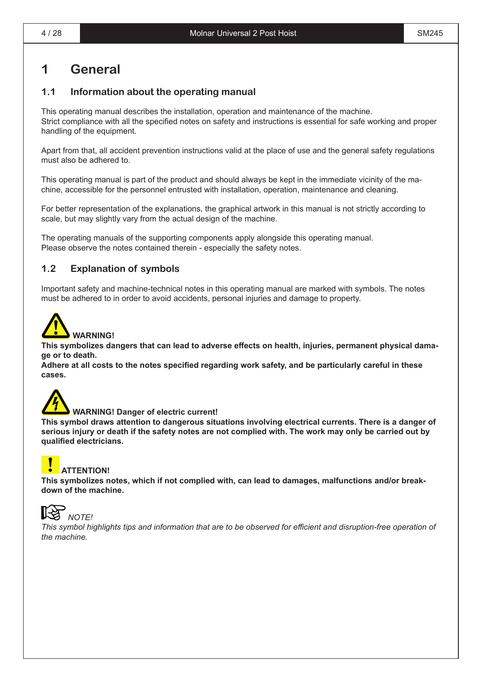### **1 General**

#### **1.1 Information about the operating manual**

This operating manual describes the installation, operation and maintenance of the machine. Strict compliance with all the specified notes on safety and instructions is essential for safe working and proper handling of the equipment.

Apart from that, all accident prevention instructions valid at the place of use and the general safety regulations must also be adhered to.

This operating manual is part of the product and should always be kept in the immediate vicinity of the machine, accessible for the personnel entrusted with installation, operation, maintenance and cleaning.

For better representation of the explanations, the graphical artwork in this manual is not strictly according to scale, but may slightly vary from the actual design of the machine.

The operating manuals of the supporting components apply alongside this operating manual. Please observe the notes contained therein - especially the safety notes.

#### **1.2 Explanation of symbols**

Important safety and machine-technical notes in this operating manual are marked with symbols. The notes must be adhered to in order to avoid accidents, personal injuries and damage to property.



**This symbolizes dangers that can lead to adverse effects on health, injuries, permanent physical damage or to death.**

**Adhere at all costs to the notes specified regarding work safety, and be particularly careful in these cases.**



#### **WARNING! Danger of electric current!**

**This symbol draws attention to dangerous situations involving electrical currents. There is a danger of** serious injury or death if the safety notes are not complied with. The work may only be carried out by **qualified electricians.**

### **ATTENTION!**

**This symbolizes notes, which if not complied with, can lead to damages, malfunctions and/or breakdown of the machine.**



 *NOTE!*

This symbol highlights tips and information that are to be observed for efficient and disruption-free operation of *the machine.*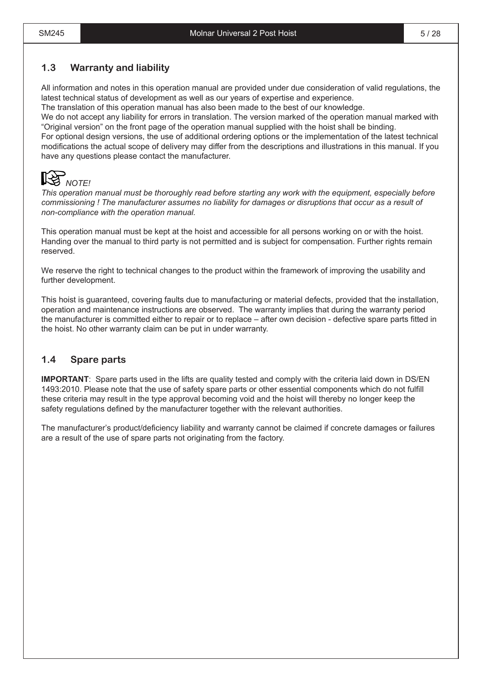#### **1.3 Warranty and liability**

All information and notes in this operation manual are provided under due consideration of valid regulations, the latest technical status of development as well as our years of expertise and experience.

The translation of this operation manual has also been made to the best of our knowledge.

We do not accept any liability for errors in translation. The version marked of the operation manual marked with "Original version" on the front page of the operation manual supplied with the hoist shall be binding.

For optional design versions, the use of additional ordering options or the implementation of the latest technical modifications the actual scope of delivery may differ from the descriptions and illustrations in this manual. If you have any questions please contact the manufacturer.



*This operation manual must be thoroughly read before starting any work with the equipment, especially before commissioning ! The manufacturer assumes no liability for damages or disruptions that occur as a result of non-compliance with the operation manual.*

This operation manual must be kept at the hoist and accessible for all persons working on or with the hoist. Handing over the manual to third party is not permitted and is subject for compensation. Further rights remain reserved.

We reserve the right to technical changes to the product within the framework of improving the usability and further development.

This hoist is guaranteed, covering faults due to manufacturing or material defects, provided that the installation, operation and maintenance instructions are observed. The warranty implies that during the warranty period the manufacturer is committed either to repair or to replace – after own decision - defective spare parts fitted in the hoist. No other warranty claim can be put in under warranty.

#### **1.4 Spare parts**

**IMPORTANT**: Spare parts used in the lifts are quality tested and comply with the criteria laid down in DS/EN 1493:2010. Please note that the use of safety spare parts or other essential components which do not fulfill these criteria may result in the type approval becoming void and the hoist will thereby no longer keep the safety regulations defined by the manufacturer together with the relevant authorities.

The manufacturer's product/deficiency liability and warranty cannot be claimed if concrete damages or failures are a result of the use of spare parts not originating from the factory.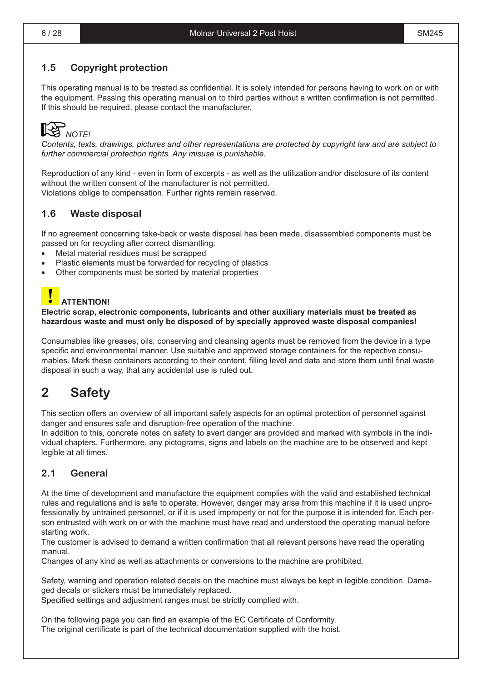### **1.5 Copyright protection**

This operating manual is to be treated as confidential. It is solely intended for persons having to work on or with the equipment. Passing this operating manual on to third parties without a written confirmation is not permitted. If this should be required, please contact the manufacturer.

## *NOTE!*

*Contents, texts, drawings, pictures and other representations are protected by copyright law and are subject to further commercial protection rights. Any misuse is punishable.*

Reproduction of any kind - even in form of excerpts - as well as the utilization and/or disclosure of its content without the written consent of the manufacturer is not permitted. Violations oblige to compensation. Further rights remain reserved.

#### **1.6 Waste disposal**

If no agreement concerning take-back or waste disposal has been made, disassembled components must be passed on for recycling after correct dismantling:

- Metal material residues must be scrapped
- Plastic elements must be forwarded for recycling of plastics
- Other components must be sorted by material properties

### **ATTENTION!**

#### **Electric scrap, electronic components, lubricants and other auxiliary materials must be treated as hazardous waste and must only be disposed of by specially approved waste disposal companies!**

Consumables like greases, oils, conserving and cleansing agents must be removed from the device in a type specific and environmental manner. Use suitable and approved storage containers for the repective consumables. Mark these containers according to their content, filling level and data and store them until final waste disposal in such a way, that any accidental use is ruled out.

### **2 Safety**

This section offers an overview of all important safety aspects for an optimal protection of personnel against danger and ensures safe and disruption-free operation of the machine.

In addition to this, concrete notes on safety to avert danger are provided and marked with symbols in the individual chapters. Furthermore, any pictograms, signs and labels on the machine are to be observed and kept legible at all times.

#### $2.1$ **General**

At the time of development and manufacture the equipment complies with the valid and established technical rules and regulations and is safe to operate. However, danger may arise from this machine if it is used unprofessionally by untrained personnel, or if it is used improperly or not for the purpose it is intended for. Each person entrusted with work on or with the machine must have read and understood the operating manual before starting work.

The customer is advised to demand a written confirmation that all relevant persons have read the operating manual

Changes of any kind as well as attachments or conversions to the machine are prohibited.

Safety, warning and operation related decals on the machine must always be kept in legible condition. Damaged decals or stickers must be immediately replaced.

Specified settings and adjustment ranges must be strictly complied with.

On the following page you can find an example of the EC Certificate of Conformity. The original certificate is part of the technical documentation supplied with the hoist.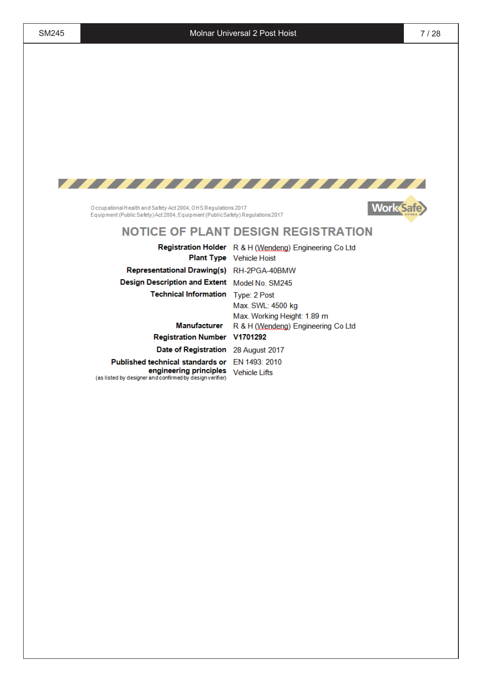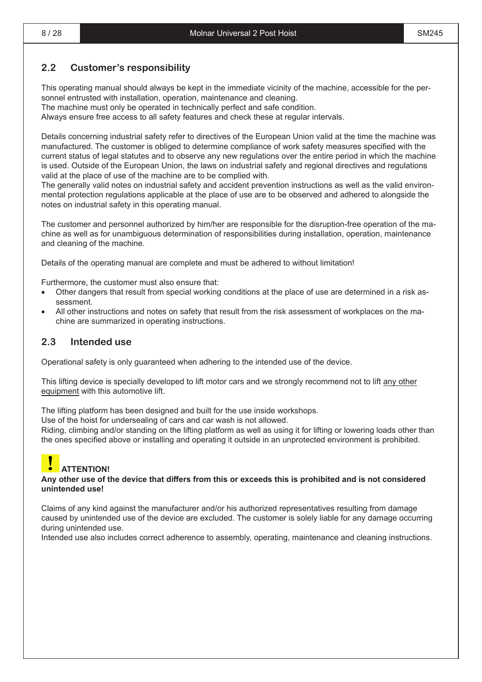#### **2.2 Customer's responsibility**

This operating manual should always be kept in the immediate vicinity of the machine, accessible for the personnel entrusted with installation, operation, maintenance and cleaning.

The machine must only be operated in technically perfect and safe condition.

Always ensure free access to all safety features and check these at regular intervals.

Details concerning industrial safety refer to directives of the European Union valid at the time the machine was manufactured. The customer is obliged to determine compliance of work safety measures specified with the current status of legal statutes and to observe any new regulations over the entire period in which the machine is used. Outside of the European Union, the laws on industrial safety and regional directives and regulations valid at the place of use of the machine are to be complied with.

The generally valid notes on industrial safety and accident prevention instructions as well as the valid environmental protection regulations applicable at the place of use are to be observed and adhered to alongside the notes on industrial safety in this operating manual.

The customer and personnel authorized by him/her are responsible for the disruption-free operation of the machine as well as for unambiguous determination of responsibilities during installation, operation, maintenance and cleaning of the machine.

Details of the operating manual are complete and must be adhered to without limitation!

Furthermore, the customer must also ensure that:

- Other dangers that result from special working conditions at the place of use are determined in a risk assessment.
- All other instructions and notes on safety that result from the risk assessment of workplaces on the machine are summarized in operating instructions.

#### **2.3 Intended use**

Operational safety is only guaranteed when adhering to the intended use of the device.

This lifting device is specially developed to lift motor cars and we strongly recommend not to lift any other equipment with this automotive lift.

The lifting platform has been designed and built for the use inside workshops.

Use of the hoist for undersealing of cars and car wash is not allowed.

Riding, climbing and/or standing on the lifting platform as well as using it for lifting or lowering loads other than the ones specified above or installing and operating it outside in an unprotected environment is prohibited.

### **ATTENTION!**

#### Any other use of the device that differs from this or exceeds this is prohibited and is not considered **unintended use!**

Claims of any kind against the manufacturer and/or his authorized representatives resulting from damage caused by unintended use of the device are excluded. The customer is solely liable for any damage occurring during unintended use.

Intended use also includes correct adherence to assembly, operating, maintenance and cleaning instructions.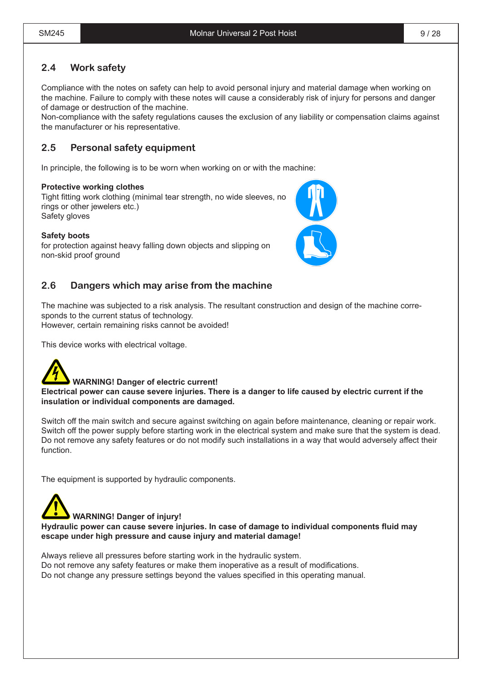### **2.4 Work safety**

Compliance with the notes on safety can help to avoid personal injury and material damage when working on the machine. Failure to comply with these notes will cause a considerably risk of injury for persons and danger of damage or destruction of the machine.

Non-compliance with the safety regulations causes the exclusion of any liability or compensation claims against the manufacturer or his representative.

### **2.5 Personal safety equipment**

In principle, the following is to be worn when working on or with the machine:

#### **Protective working clothes**

Tight fitting work clothing (minimal tear strength, no wide sleeves, no rings or other jewelers etc.) Safety gloves

#### **Safety boots**

for protection against heavy falling down objects and slipping on non-skid proof ground

#### **2.6 Dangers which may arise from the machine**

The machine was subjected to a risk analysis. The resultant construction and design of the machine corresponds to the current status of technology. However, certain remaining risks cannot be avoided!

This device works with electrical voltage.

#### **WARNING! Danger of electric current!**

Electrical power can cause severe injuries. There is a danger to life caused by electric current if the **insulation or individual components are damaged.**

Switch off the main switch and secure against switching on again before maintenance, cleaning or repair work. Switch off the power supply before starting work in the electrical system and make sure that the system is dead. Do not remove any safety features or do not modify such installations in a way that would adversely affect their function.

The equipment is supported by hydraulic components.

#### **WARNING! Danger of injury!**

**Hydraulic power can cause severe injuries. In case of damage to individual components fluid may escape under high pressure and cause injury and material damage!**

Always relieve all pressures before starting work in the hydraulic system. Do not remove any safety features or make them inoperative as a result of modifications. Do not change any pressure settings beyond the values specified in this operating manual.

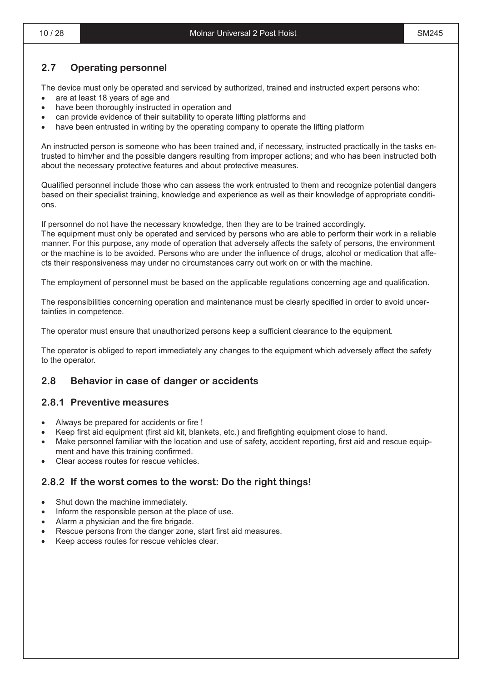#### **2.7 Operating personnel**

The device must only be operated and serviced by authorized, trained and instructed expert persons who:

- are at least 18 years of age and
- have been thoroughly instructed in operation and
- can provide evidence of their suitability to operate lifting platforms and
- have been entrusted in writing by the operating company to operate the lifting platform

An instructed person is someone who has been trained and, if necessary, instructed practically in the tasks entrusted to him/her and the possible dangers resulting from improper actions; and who has been instructed both about the necessary protective features and about protective measures.

Qualified personnel include those who can assess the work entrusted to them and recognize potential dangers based on their specialist training, knowledge and experience as well as their knowledge of appropriate conditions.

If personnel do not have the necessary knowledge, then they are to be trained accordingly.

The equipment must only be operated and serviced by persons who are able to perform their work in a reliable manner. For this purpose, any mode of operation that adversely affects the safety of persons, the environment or the machine is to be avoided. Persons who are under the influence of drugs, alcohol or medication that affects their responsiveness may under no circumstances carry out work on or with the machine.

The employment of personnel must be based on the applicable regulations concerning age and qualification.

The responsibilities concerning operation and maintenance must be clearly specified in order to avoid uncertainties in competence.

The operator must ensure that unauthorized persons keep a sufficient clearance to the equipment.

The operator is obliged to report immediately any changes to the equipment which adversely affect the safety to the operator.

#### **2.8 Behavior in case of danger or accidents**

#### **2.8.1 Preventive measures**

- Always be prepared for accidents or fire !
- Keep first aid equipment (first aid kit, blankets, etc.) and firefighting equipment close to hand.
- Make personnel familiar with the location and use of safety, accident reporting, first aid and rescue equipment and have this training confirmed.
- Clear access routes for rescue vehicles.

#### **2.8.2 If the worst comes to the worst: Do the right things!**

- Shut down the machine immediately.
- Inform the responsible person at the place of use.
- Alarm a physician and the fire brigade.
- Rescue persons from the danger zone, start first aid measures.
- Keep access routes for rescue vehicles clear.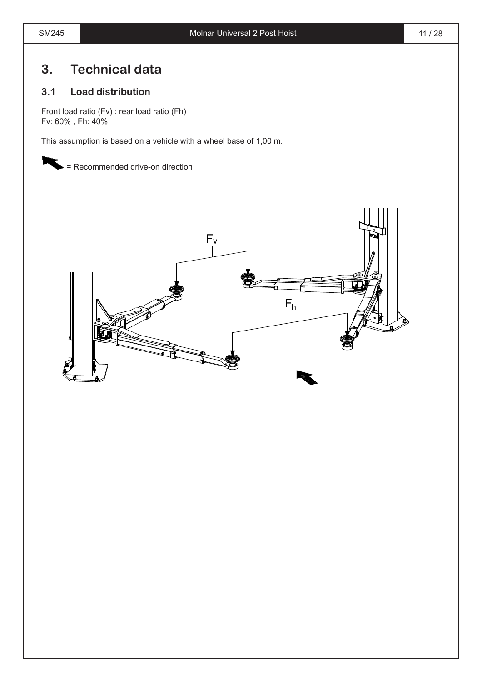### **3. Technical data**

#### **3.1 Load distribution**

Front load ratio (Fv) : rear load ratio (Fh) Fv: 60% , Fh: 40%

This assumption is based on a vehicle with a wheel base of 1,00 m.

= Recommended drive-on direction

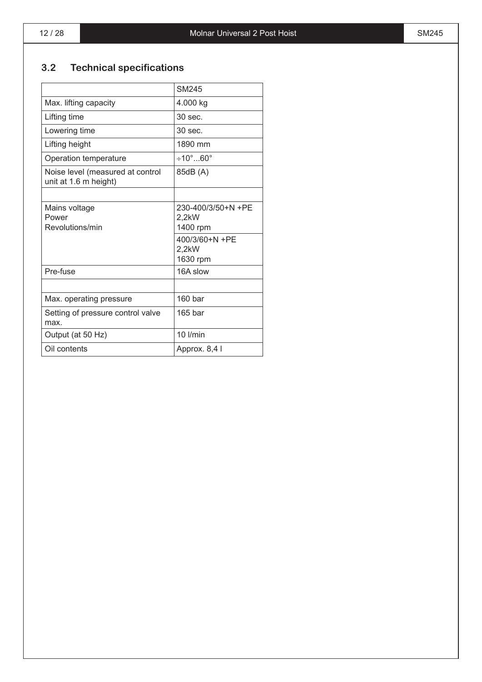### **3.2 Technical specifications**

|                                                           | SM245                          |
|-----------------------------------------------------------|--------------------------------|
| Max. lifting capacity                                     | 4.000 kg                       |
| Lifting time                                              | 30 sec.                        |
| Lowering time                                             | $30 \text{ sec}$               |
| Lifting height                                            | 1890 mm                        |
| Operation temperature                                     | $\div 10^\circ$ 60 $^\circ$    |
| Noise level (measured at control<br>unit at 1.6 m height) | 85dB (A)                       |
|                                                           |                                |
| Mains voltage<br>Power                                    | 230-400/3/50+N +PE<br>$2.2$ kW |
| Revolutions/min                                           | 1400 rpm                       |
|                                                           | 400/3/60+N +PE                 |
|                                                           | 2,2kW<br>1630 rpm              |
| Pre-fuse                                                  | 16A slow                       |
|                                                           |                                |
| Max. operating pressure                                   | 160 bar                        |
| Setting of pressure control valve<br>max.                 | $165$ bar                      |
| Output (at 50 Hz)                                         | 10 l/min                       |
| Oil contents                                              | Approx. 8,4 I                  |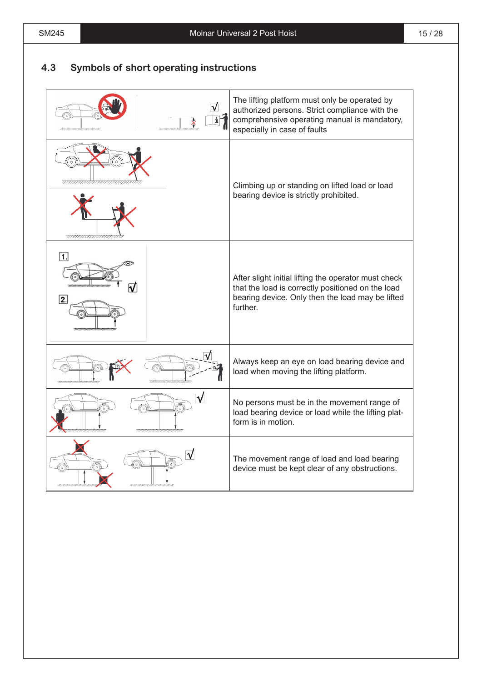#### **4.3 Symbols of short operating instructions**

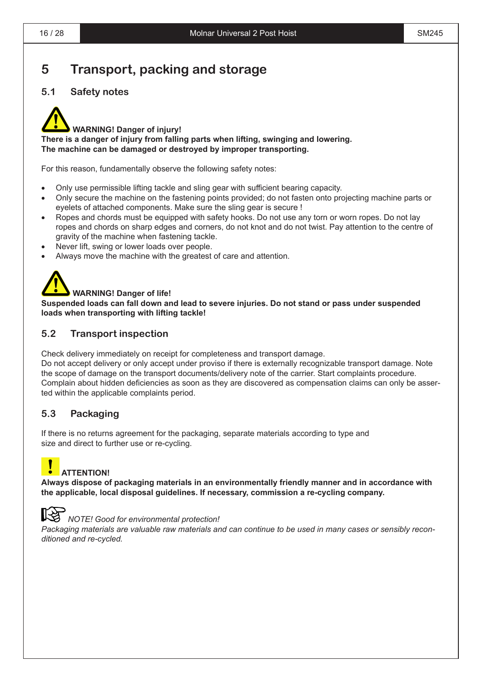### **5 Transport, packing and storage**

#### **5.1 Safety notes**



#### **WARNING! Danger of injury!**

**There is a danger of injury from falling parts when lifting, swinging and lowering. The machine can be damaged or destroyed by improper transporting.**

For this reason, fundamentally observe the following safety notes:

- Only use permissible lifting tackle and sling gear with sufficient bearing capacity.
- Only secure the machine on the fastening points provided; do not fasten onto projecting machine parts or eyelets of attached components. Make sure the sling gear is secure !
- Ropes and chords must be equipped with safety hooks. Do not use any torn or worn ropes. Do not lay ropes and chords on sharp edges and corners, do not knot and do not twist. Pay attention to the centre of gravity of the machine when fastening tackle.
- Never lift, swing or lower loads over people.
- Always move the machine with the greatest of care and attention.



**Suspended loads can fall down and lead to severe injuries. Do not stand or pass under suspended loads when transporting with lifting tackle!**

#### **5.2 Transport inspection**

Check delivery immediately on receipt for completeness and transport damage.

Do not accept delivery or only accept under proviso if there is externally recognizable transport damage. Note the scope of damage on the transport documents/delivery note of the carrier. Start complaints procedure. Complain about hidden deficiencies as soon as they are discovered as compensation claims can only be asserted within the applicable complaints period.

#### **5.3 Packaging**

If there is no returns agreement for the packaging, separate materials according to type and size and direct to further use or re-cycling.

### **ATTENTION!**

**Always dispose of packaging materials in an environmentally friendly manner and in accordance with the applicable, local disposal guidelines. If necessary, commission a re-cycling company.**



#### *NOTE! Good for environmental protection!*

*Packaging materials are valuable raw materials and can continue to be used in many cases or sensibly reconditioned and re-cycled.*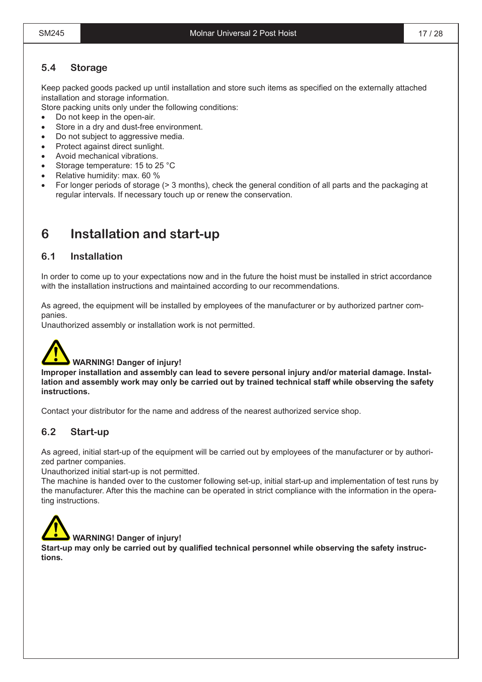#### **5.4 Storage**

Keep packed goods packed up until installation and store such items as specified on the externally attached installation and storage information.

Store packing units only under the following conditions:

- Do not keep in the open-air.
- Store in a dry and dust-free environment.
- Do not subject to aggressive media.
- Protect against direct sunlight.
- Avoid mechanical vibrations.
- Storage temperature: 15 to 25 °C
- Relative humidity: max. 60 %
- For longer periods of storage (> 3 months), check the general condition of all parts and the packaging at regular intervals. If necessary touch up or renew the conservation.

### **6 Installation and start-up**

#### **6.1 Installation**

In order to come up to your expectations now and in the future the hoist must be installed in strict accordance with the installation instructions and maintained according to our recommendations.

As agreed, the equipment will be installed by employees of the manufacturer or by authorized partner companies.

Unauthorized assembly or installation work is not permitted.



#### **WARNING! Danger of injury!**

Improper installation and assembly can lead to severe personal injury and/or material damage. Installation and assembly work may only be carried out by trained technical staff while observing the safety **instructions.**

Contact your distributor for the name and address of the nearest authorized service shop.

#### **6.2 Start-up**

As agreed, initial start-up of the equipment will be carried out by employees of the manufacturer or by authorized partner companies.

Unauthorized initial start-up is not permitted.

The machine is handed over to the customer following set-up, initial start-up and implementation of test runs by the manufacturer. After this the machine can be operated in strict compliance with the information in the operating instructions.



Start-up may only be carried out by qualified technical personnel while observing the safety instruc**tions.**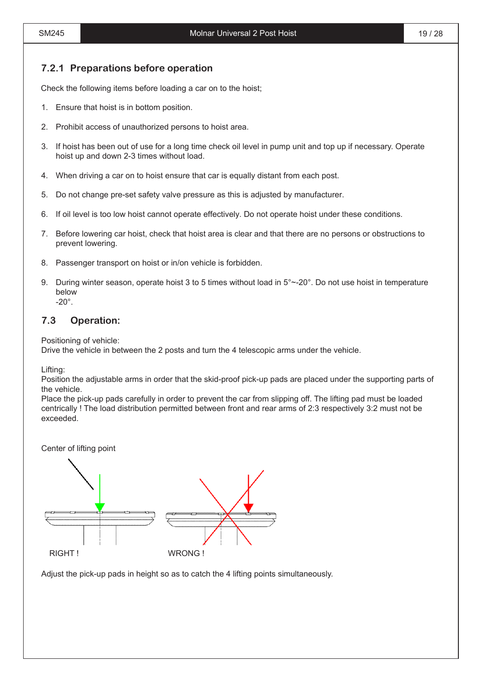#### **7.2.1 Preparations before operation**

Check the following items before loading a car on to the hoist;

- 1. Ensure that hoist is in bottom position.
- 2. Prohibit access of unauthorized persons to hoist area.
- 3. If hoist has been out of use for a long time check oil level in pump unit and top up if necessary. Operate hoist up and down 2-3 times without load.
- 4. When driving a car on to hoist ensure that car is equally distant from each post.
- 5. Do not change pre-set safety valve pressure as this is adjusted by manufacturer.
- 6. If oil level is too low hoist cannot operate effectively. Do not operate hoist under these conditions.
- 7. Before lowering car hoist, check that hoist area is clear and that there are no persons or obstructions to prevent lowering.
- 8. Passenger transport on hoist or in/on vehicle is forbidden.
- 9. During winter season, operate hoist 3 to 5 times without load in 5°~-20°. Do not use hoist in temperature below -20°.

#### **7.3 Operation:**

Positioning of vehicle:

Drive the vehicle in between the 2 posts and turn the 4 telescopic arms under the vehicle.

Lifting:

Position the adjustable arms in order that the skid-proof pick-up pads are placed under the supporting parts of the vehicle.

Place the pick-up pads carefully in order to prevent the car from slipping off. The lifting pad must be loaded centrically ! The load distribution permitted between front and rear arms of 2:3 respectively 3:2 must not be exceeded.

Center of lifting point



Adjust the pick-up pads in height so as to catch the 4 lifting points simultaneously.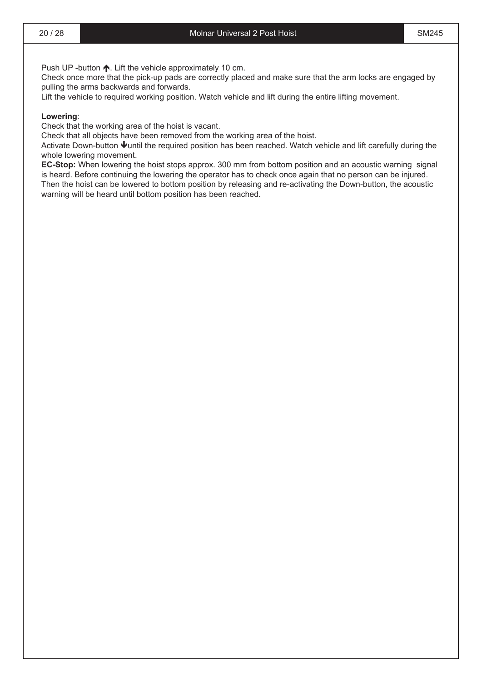Push UP -button  $\spadesuit$ . Lift the vehicle approximately 10 cm.

Check once more that the pick-up pads are correctly placed and make sure that the arm locks are engaged by pulling the arms backwards and forwards.

Lift the vehicle to required working position. Watch vehicle and lift during the entire lifting movement.

#### **Lowering**:

Check that the working area of the hoist is vacant.

Check that all objects have been removed from the working area of the hoist.

Activate Down-button  $\blacklozenge$ until the required position has been reached. Watch vehicle and lift carefully during the whole lowering movement.

**EC-Stop:** When lowering the hoist stops approx. 300 mm from bottom position and an acoustic warning signal is heard. Before continuing the lowering the operator has to check once again that no person can be injured. Then the hoist can be lowered to bottom position by releasing and re-activating the Down-button, the acoustic warning will be heard until bottom position has been reached.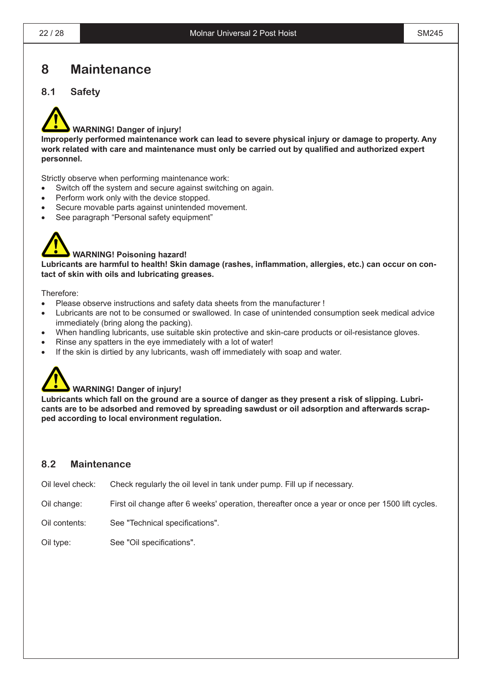### **8 Maintenance**

#### **8.1 Safety**



#### **WARNING! Danger of injury!**

**Improperly performed maintenance work can lead to severe physical injury or damage to property. Any work related with care and maintenance must only be carried out by qualified and authorized expert personnel.**

Strictly observe when performing maintenance work:

- Switch off the system and secure against switching on again.
- Perform work only with the device stopped.
- Secure movable parts against unintended movement.
- See paragraph "Personal safety equipment"



#### **WARNING! Poisoning hazard!**

**Lubricants are harmful to health! Skin damage (rashes, inflammation, allergies, etc.) can occur on contact of skin with oils and lubricating greases.**

Therefore:

- Please observe instructions and safety data sheets from the manufacturer !
- Lubricants are not to be consumed or swallowed. In case of unintended consumption seek medical advice immediately (bring along the packing).
- When handling lubricants, use suitable skin protective and skin-care products or oil-resistance gloves.
- Rinse any spatters in the eye immediately with a lot of water!
- If the skin is dirtied by any lubricants, wash off immediately with soap and water.



#### **WARNING! Danger of injury!**

Lubricants which fall on the ground are a source of danger as they present a risk of slipping. Lubri**cants are to be adsorbed and removed by spreading sawdust or oil adsorption and afterwards scrapped according to local environment regulation.** 

#### **8.2 Maintenance**

Oil level check: Check regularly the oil level in tank under pump. Fill up if necessary.

- Oil change: First oil change after 6 weeks' operation, thereafter once a year or once per 1500 lift cycles.
- Oil contents: See "Technical specifications".

Oil type: See "Oil specifications".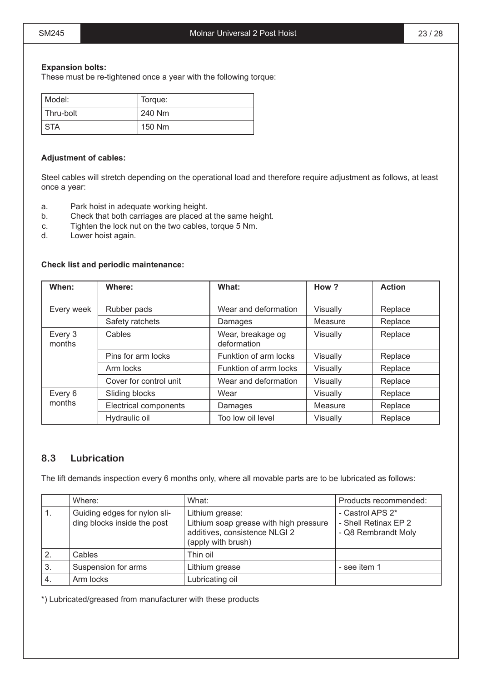#### **Expansion bolts:**

These must be re-tightened once a year with the following torque:

| Model:     | Torque: |
|------------|---------|
| Thru-bolt  | 240 Nm  |
| <b>STA</b> | 150 Nm  |

#### **Adjustment of cables:**

Steel cables will stretch depending on the operational load and therefore require adjustment as follows, at least once a year:

- a. Park hoist in adequate working height.
- b. Check that both carriages are placed at the same height.
- c. Tighten the lock nut on the two cables, torque 5 Nm.
- d. Lower hoist again.

#### **Check list and periodic maintenance:**

| When:             | Where:                 | What:                            | How?     | <b>Action</b> |
|-------------------|------------------------|----------------------------------|----------|---------------|
| Every week        | Rubber pads            | Wear and deformation             | Visually | Replace       |
|                   | Safety ratchets        | Damages                          | Measure  | Replace       |
| Every 3<br>months | Cables                 | Wear, breakage og<br>deformation | Visually | Replace       |
|                   | Pins for arm locks     | Funktion of arm locks            | Visually | Replace       |
|                   | Arm locks              | Funktion of arrm locks           | Visually | Replace       |
|                   | Cover for control unit | Wear and deformation             | Visually | Replace       |
| Every 6           | Sliding blocks         | Wear                             | Visually | Replace       |
| months            | Electrical components  | Damages                          | Measure  | Replace       |
|                   | Hydraulic oil          | Too low oil level                | Visually | Replace       |

#### **8.3 Lubrication**

The lift demands inspection every 6 months only, where all movable parts are to be lubricated as follows:

|    | Where:                                                      | What:                                                                                                            | Products recommended:                                           |
|----|-------------------------------------------------------------|------------------------------------------------------------------------------------------------------------------|-----------------------------------------------------------------|
|    | Guiding edges for nylon sli-<br>ding blocks inside the post | Lithium grease:<br>Lithium soap grease with high pressure<br>additives, consistence NLGI 2<br>(apply with brush) | - Castrol APS 2*<br>- Shell Retinax EP 2<br>- Q8 Rembrandt Moly |
|    | Cables                                                      | Thin oil                                                                                                         |                                                                 |
| 3. | Suspension for arms                                         | Lithium grease                                                                                                   | - see item 1                                                    |
| 4. | Arm locks                                                   | Lubricating oil                                                                                                  |                                                                 |

\*) Lubricated/greased from manufacturer with these products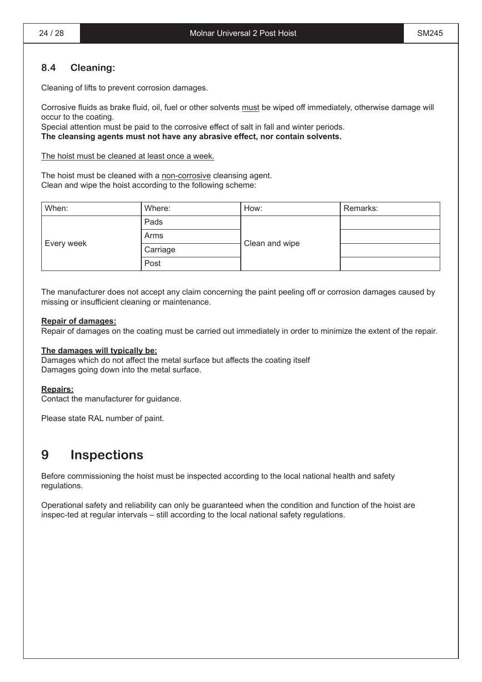#### **8.4 Cleaning:**

Cleaning of lifts to prevent corrosion damages.

Corrosive fluids as brake fluid, oil, fuel or other solvents must be wiped off immediately, otherwise damage will occur to the coating.

Special attention must be paid to the corrosive effect of salt in fall and winter periods. The cleansing agents must not have any abrasive effect, nor contain solvents.

The hoist must be cleaned at least once a week.

The hoist must be cleaned with a non-corrosive cleansing agent. Clean and wipe the hoist according to the following scheme:

| When:      | Where:   | How:           | Remarks: |
|------------|----------|----------------|----------|
|            | Pads     |                |          |
|            | Arms     |                |          |
| Every week | Carriage | Clean and wipe |          |
|            | Post     |                |          |

The manufacturer does not accept any claim concerning the paint peeling off or corrosion damages caused by missing or insufficient cleaning or maintenance.

#### **Repair of damages:**

Repair of damages on the coating must be carried out immediately in order to minimize the extent of the repair.

#### **The damages will typically be:**

Damages which do not affect the metal surface but affects the coating itself Damages going down into the metal surface.

#### **Repairs:**

Contact the manufacturer for guidance.

Please state RAL number of paint.

### **9 Inspections**

Before commissioning the hoist must be inspected according to the local national health and safety regulations.

Operational safety and reliability can only be guaranteed when the condition and function of the hoist are inspec-ted at regular intervals – still according to the local national safety regulations.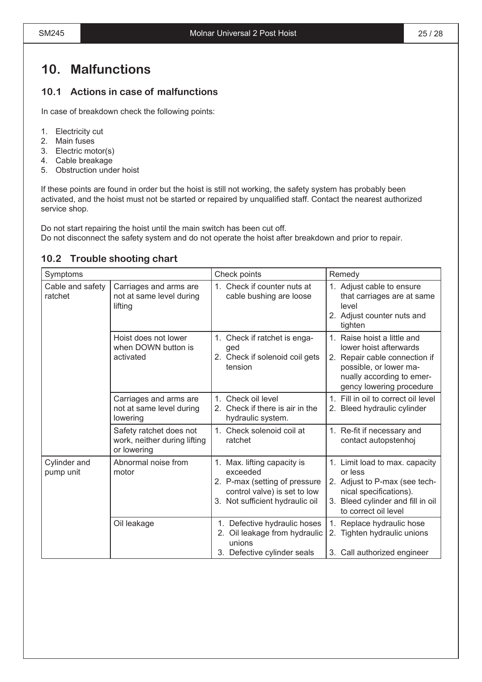### **10. Malfunctions**

#### **10.1 Actions in case of malfunctions**

In case of breakdown check the following points:

#### 1. Electricity cut

- 2. Main fuses
- 3. Electric motor(s)
- 4. Cable breakage
- 5. Obstruction under hoist

If these points are found in order but the hoist is still not working, the safety system has probably been activated, and the hoist must not be started or repaired by unqualified staff. Contact the nearest authorized service shop.

Do not start repairing the hoist until the main switch has been cut off. Do not disconnect the safety system and do not operate the hoist after breakdown and prior to repair.

#### **10.2 Trouble shooting chart**

| Symptoms                    |                                                                        | Check points                                                                                                                                | Remedy                                                                                                                                                                    |
|-----------------------------|------------------------------------------------------------------------|---------------------------------------------------------------------------------------------------------------------------------------------|---------------------------------------------------------------------------------------------------------------------------------------------------------------------------|
| Cable and safety<br>ratchet | Carriages and arms are<br>not at same level during<br>lifting          | Check if counter nuts at<br>1 <sup>1</sup><br>cable bushing are loose                                                                       | 1. Adjust cable to ensure<br>that carriages are at same<br>level<br>2. Adjust counter nuts and<br>tighten                                                                 |
|                             | Hoist does not lower<br>when DOWN button is<br>activated               | 1. Check if ratchet is enga-<br>ged<br>2. Check if solenoid coil gets<br>tension                                                            | 1. Raise hoist a little and<br>lower hoist afterwards<br>2. Repair cable connection if<br>possible, or lower ma-<br>nually according to emer-<br>gency lowering procedure |
|                             | Carriages and arms are<br>not at same level during<br>lowering         | Check oil level<br>1 <sup>1</sup><br>2. Check if there is air in the<br>hydraulic system.                                                   | 1. Fill in oil to correct oil level<br>2. Bleed hydraulic cylinder                                                                                                        |
|                             | Safety ratchet does not<br>work, neither during lifting<br>or lowering | 1. Check solenoid coil at<br>ratchet                                                                                                        | 1. Re-fit if necessary and<br>contact autopstenhoj                                                                                                                        |
| Cylinder and<br>pump unit   | Abnormal noise from<br>motor                                           | 1. Max. lifting capacity is<br>exceeded<br>2. P-max (setting of pressure<br>control valve) is set to low<br>3. Not sufficient hydraulic oil | 1. Limit load to max. capacity<br>or less<br>2. Adjust to P-max (see tech-<br>nical specifications).<br>3. Bleed cylinder and fill in oil<br>to correct oil level         |
|                             | Oil leakage                                                            | 1. Defective hydraulic hoses<br>2. Oil leakage from hydraulic<br>unions<br>3. Defective cylinder seals                                      | 1.<br>Replace hydraulic hose<br>2. Tighten hydraulic unions<br>3. Call authorized engineer                                                                                |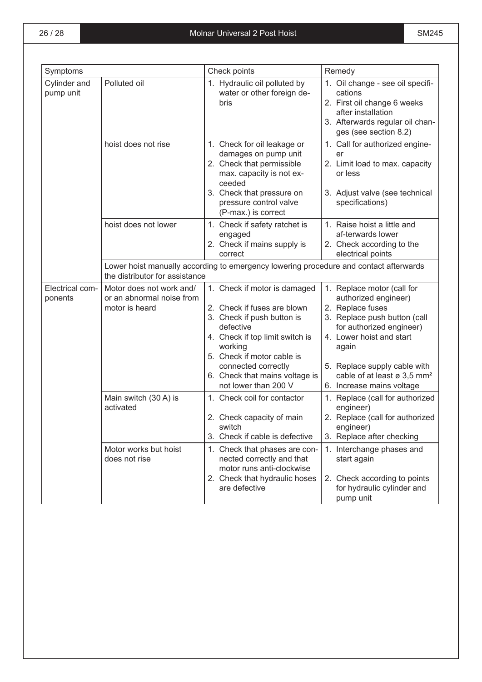| Symptoms                   |                                                                         | Check points                                                                                                                                                                                              | Remedy                                                                                                                                                                                                  |  |
|----------------------------|-------------------------------------------------------------------------|-----------------------------------------------------------------------------------------------------------------------------------------------------------------------------------------------------------|---------------------------------------------------------------------------------------------------------------------------------------------------------------------------------------------------------|--|
| Cylinder and<br>pump unit  | Polluted oil                                                            | 1. Hydraulic oil polluted by<br>water or other foreign de-<br>bris                                                                                                                                        | 1. Oil change - see oil specifi-<br>cations<br>2. First oil change 6 weeks<br>after installation<br>3. Afterwards regular oil chan-<br>ges (see section 8.2)                                            |  |
|                            | hoist does not rise                                                     | 1. Check for oil leakage or<br>damages on pump unit<br>2. Check that permissible<br>max. capacity is not ex-<br>ceeded<br>3. Check that pressure on<br>pressure control valve<br>(P-max.) is correct      | 1. Call for authorized engine-<br>er<br>2. Limit load to max. capacity<br>or less<br>3. Adjust valve (see technical<br>specifications)                                                                  |  |
|                            | hoist does not lower                                                    | 1. Check if safety ratchet is<br>engaged<br>2. Check if mains supply is<br>correct                                                                                                                        | 1. Raise hoist a little and<br>af-terwards lower<br>2. Check according to the<br>electrical points                                                                                                      |  |
|                            | the distributor for assistance                                          | Lower hoist manually according to emergency lowering procedure and contact afterwards                                                                                                                     |                                                                                                                                                                                                         |  |
| Electrical com-<br>ponents | Motor does not work and/<br>or an abnormal noise from<br>motor is heard | 1. Check if motor is damaged<br>2. Check if fuses are blown<br>3. Check if push button is<br>defective<br>4. Check if top limit switch is<br>working<br>5. Check if motor cable is<br>connected correctly | 1. Replace motor (call for<br>authorized engineer)<br>2. Replace fuses<br>3. Replace push button (call<br>for authorized engineer)<br>4. Lower hoist and start<br>again<br>5. Replace supply cable with |  |
|                            |                                                                         | 6. Check that mains voltage is<br>not lower than 200 V                                                                                                                                                    | cable of at least ø 3,5 mm <sup>2</sup><br>6. Increase mains voltage                                                                                                                                    |  |
|                            | Main switch (30 A) is<br>activated                                      | 1. Check coil for contactor<br>2. Check capacity of main<br>switch<br>3. Check if cable is defective                                                                                                      | 1. Replace (call for authorized<br>engineer)<br>2. Replace (call for authorized<br>engineer)<br>3. Replace after checking                                                                               |  |
|                            | Motor works but hoist<br>does not rise                                  | 1. Check that phases are con-<br>nected correctly and that<br>motor runs anti-clockwise<br>2. Check that hydraulic hoses<br>are defective                                                                 | 1. Interchange phases and<br>start again<br>2. Check according to points<br>for hydraulic cylinder and<br>pump unit                                                                                     |  |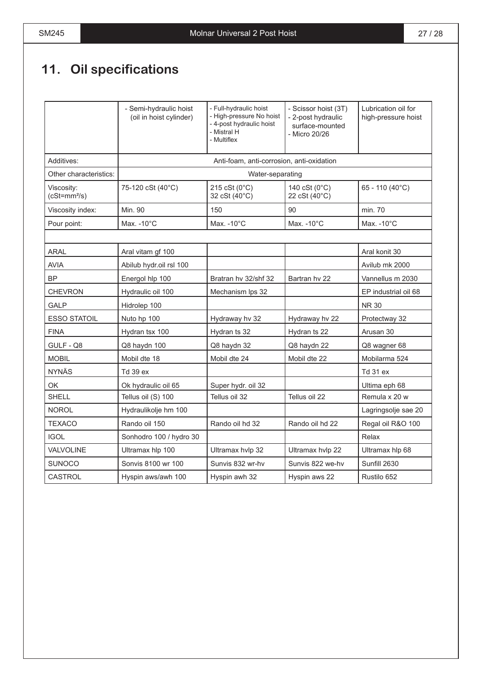# **11. Oil specifications**

|                             | - Semi-hydraulic hoist<br>(oil in hoist cylinder) | - Full-hydraulic hoist<br>- High-pressure No hoist<br>- 4-post hydraulic hoist<br>- Mistral H<br>- Multiflex | - Scissor hoist (3T)<br>- 2-post hydraulic<br>surface-mounted<br>- Micro 20/26 | Lubrication oil for<br>high-pressure hoist |
|-----------------------------|---------------------------------------------------|--------------------------------------------------------------------------------------------------------------|--------------------------------------------------------------------------------|--------------------------------------------|
| Additives:                  |                                                   | Anti-foam, anti-corrosion, anti-oxidation                                                                    |                                                                                |                                            |
| Other characteristics:      |                                                   | Water-separating                                                                                             |                                                                                |                                            |
| Viscosity:<br>$(cSt=mm2/s)$ | 75-120 cSt (40°C)                                 | 215 cSt (0°C)<br>32 cSt (40°C)                                                                               | 140 cSt (0°C)<br>22 cSt (40°C)                                                 | 65 - 110 (40°C)                            |
| Viscosity index:            | Min. 90                                           | 150                                                                                                          | 90                                                                             | min. 70                                    |
| Pour point:                 | Max. - 10°C                                       | Max. - 10°C                                                                                                  | Max. - 10°C                                                                    | Max. $-10^{\circ}$ C                       |
|                             |                                                   |                                                                                                              |                                                                                |                                            |
| ARAL                        | Aral vitam gf 100                                 |                                                                                                              |                                                                                | Aral konit 30                              |
| <b>AVIA</b>                 | Abilub hydr.oil rsl 100                           |                                                                                                              |                                                                                | Avilub mk 2000                             |
| <b>BP</b>                   | Energol hlp 100                                   | Bratran hv 32/shf 32                                                                                         | Bartran hy 22                                                                  | Vannellus m 2030                           |
| <b>CHEVRON</b>              | Hydraulic oil 100                                 | Mechanism Ips 32                                                                                             |                                                                                | EP industrial oil 68                       |
| <b>GALP</b>                 | Hidrolep 100                                      |                                                                                                              |                                                                                | <b>NR30</b>                                |
| <b>ESSO STATOIL</b>         | Nuto hp 100                                       | Hydraway hv 32                                                                                               | Hydraway hv 22                                                                 | Protectway 32                              |
| <b>FINA</b>                 | Hydran tsx 100                                    | Hydran ts 32                                                                                                 | Hydran ts 22                                                                   | Arusan 30                                  |
| GULF - Q8                   | Q8 haydn 100                                      | Q8 haydn 32                                                                                                  | Q8 haydn 22                                                                    | Q8 wagner 68                               |
| <b>MOBIL</b>                | Mobil dte 18                                      | Mobil dte 24                                                                                                 | Mobil dte 22                                                                   | Mobilarma 524                              |
| <b>NYNÄS</b>                | Td 39 ex                                          |                                                                                                              |                                                                                | Td 31 ex                                   |
| OK                          | Ok hydraulic oil 65                               | Super hydr. oil 32                                                                                           |                                                                                | Ultima eph 68                              |
| <b>SHELL</b>                | Tellus oil (S) 100                                | Tellus oil 32                                                                                                | Tellus oil 22                                                                  | Remula x 20 w                              |
| <b>NOROL</b>                | Hydraulikolje hm 100                              |                                                                                                              |                                                                                | Lagringsolje sae 20                        |
| <b>TEXACO</b>               | Rando oil 150                                     | Rando oil hd 32                                                                                              | Rando oil hd 22                                                                | Regal oil R&O 100                          |
| <b>IGOL</b>                 | Sonhodro 100 / hydro 30                           |                                                                                                              |                                                                                | Relax                                      |
| <b>VALVOLINE</b>            | Ultramax hlp 100                                  | Ultramax hvlp 32                                                                                             | Ultramax hvlp 22                                                               | Ultramax hlp 68                            |
| <b>SUNOCO</b>               | Sonvis 8100 wr 100                                | Sunvis 832 wr-hv                                                                                             | Sunvis 822 we-hv                                                               | Sunfill 2630                               |
| CASTROL                     | Hyspin aws/awh 100                                | Hyspin awh 32                                                                                                | Hyspin aws 22                                                                  | Rustilo 652                                |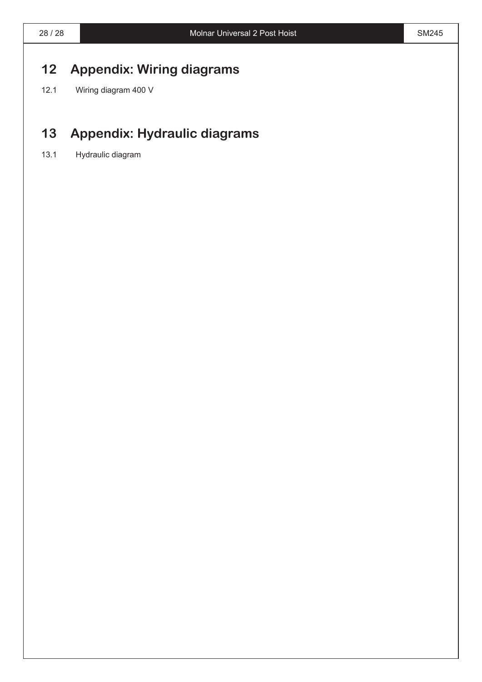### **12 Appendix: Wiring diagrams**

12.1 Wiring diagram 400 V

### **13 Appendix: Hydraulic diagrams**

13.1 Hydraulic diagram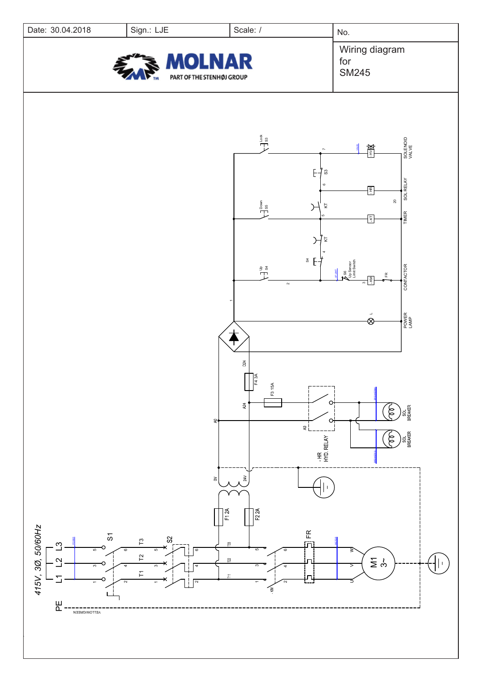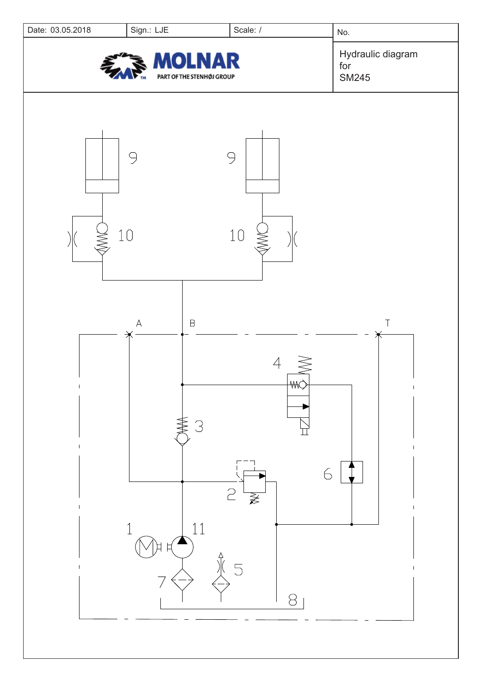